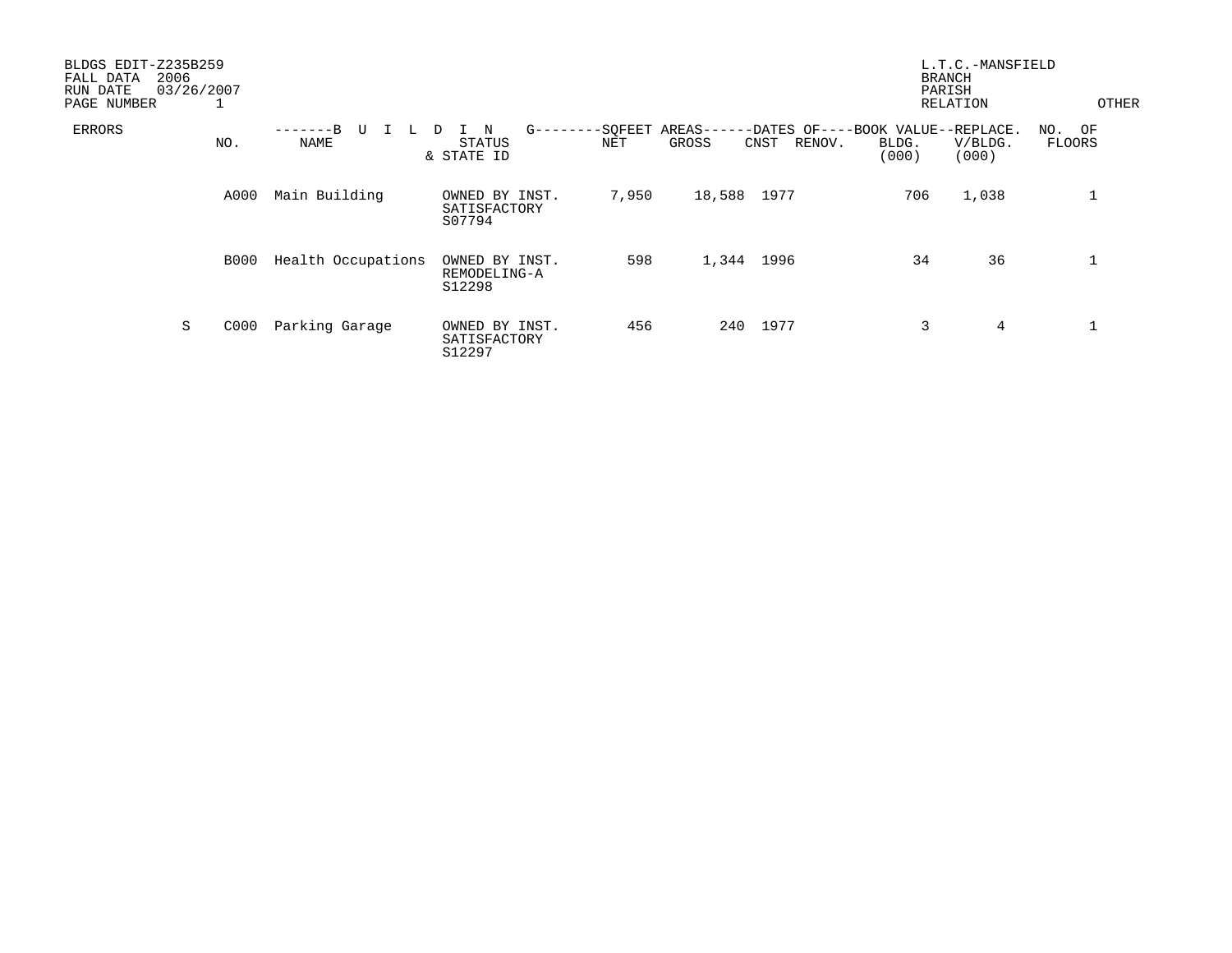| BLDGS EDIT-Z235B259<br>2006<br>FALL DATA<br>RUN DATE<br>PAGE NUMBER | 03/26/2007<br>┸ |                    |                                              |                 |            |                                                               |                | L.T.C.-MANSFIELD<br><b>BRANCH</b><br>PARISH<br>RELATION | OTHER                   |
|---------------------------------------------------------------------|-----------------|--------------------|----------------------------------------------|-----------------|------------|---------------------------------------------------------------|----------------|---------------------------------------------------------|-------------------------|
| ERRORS                                                              | NO.             | $-R$<br>U<br>NAME  | $G$ ------<br>N<br>D<br>STATUS<br>& STATE ID | --SQFEET<br>NET | GROSS      | AREAS------DATES OF----BOOK VALUE--REPLACE.<br>RENOV.<br>CNST | BLDG.<br>(000) | V/BLDG.<br>(000)                                        | NO. OF<br><b>FLOORS</b> |
|                                                                     | A000            | Main Building      | OWNED BY INST.<br>SATISFACTORY<br>S07794     | 7,950           | 18,588     | 1977                                                          | 706            | 1,038                                                   |                         |
|                                                                     | <b>B000</b>     | Health Occupations | OWNED BY INST.<br>REMODELING-A<br>S12298     | 598             | 1,344 1996 |                                                               | 34             | 36                                                      |                         |
| S                                                                   | C000            | Parking Garage     | OWNED BY INST.<br>SATISFACTORY<br>S12297     | 456             | 240        | 1977                                                          | 3              | 4                                                       |                         |